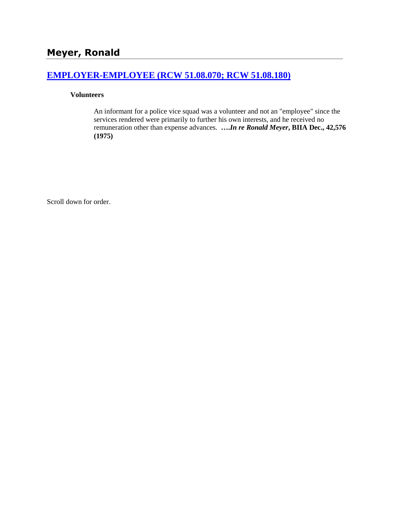## **[EMPLOYER-EMPLOYEE \(RCW 51.08.070; RCW 51.08.180\)](http://www.biia.wa.gov/SDSubjectIndex.html#EMPLOYER_EMPLOYEE)**

#### **Volunteers**

An informant for a police vice squad was a volunteer and not an "employee" since the services rendered were primarily to further his own interests, and he received no remuneration other than expense advances. **….***In re Ronald Meyer***, BIIA Dec., 42,576 (1975)** 

Scroll down for order.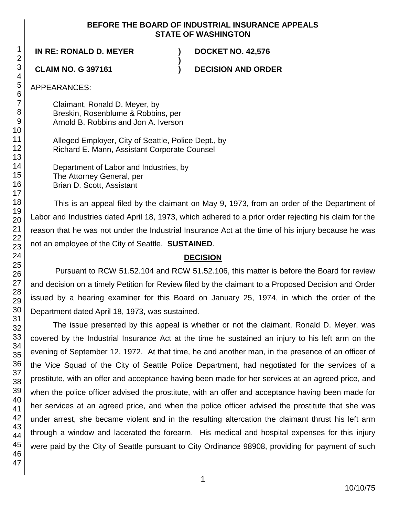### **BEFORE THE BOARD OF INDUSTRIAL INSURANCE APPEALS STATE OF WASHINGTON**

**)**

**IN RE: RONALD D. MEYER ) DOCKET NO. 42,576**

**CLAIM NO. G 397161 ) DECISION AND ORDER**

APPEARANCES:

Claimant, Ronald D. Meyer, by Breskin, Rosenblume & Robbins, per Arnold B. Robbins and Jon A. Iverson

Alleged Employer, City of Seattle, Police Dept., by Richard E. Mann, Assistant Corporate Counsel

Department of Labor and Industries, by The Attorney General, per Brian D. Scott, Assistant

This is an appeal filed by the claimant on May 9, 1973, from an order of the Department of Labor and Industries dated April 18, 1973, which adhered to a prior order rejecting his claim for the reason that he was not under the Industrial Insurance Act at the time of his injury because he was not an employee of the City of Seattle. **SUSTAINED**.

# **DECISION**

Pursuant to RCW 51.52.104 and RCW 51.52.106, this matter is before the Board for review and decision on a timely Petition for Review filed by the claimant to a Proposed Decision and Order issued by a hearing examiner for this Board on January 25, 1974, in which the order of the Department dated April 18, 1973, was sustained.

The issue presented by this appeal is whether or not the claimant, Ronald D. Meyer, was covered by the Industrial Insurance Act at the time he sustained an injury to his left arm on the evening of September 12, 1972. At that time, he and another man, in the presence of an officer of the Vice Squad of the City of Seattle Police Department, had negotiated for the services of a prostitute, with an offer and acceptance having been made for her services at an agreed price, and when the police officer advised the prostitute, with an offer and acceptance having been made for her services at an agreed price, and when the police officer advised the prostitute that she was under arrest, she became violent and in the resulting altercation the claimant thrust his left arm through a window and lacerated the forearm. His medical and hospital expenses for this injury were paid by the City of Seattle pursuant to City Ordinance 98908, providing for payment of such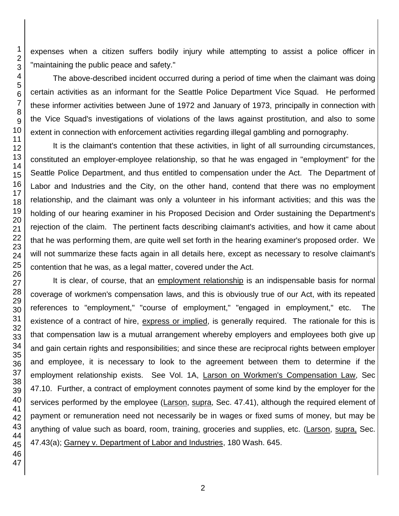expenses when a citizen suffers bodily injury while attempting to assist a police officer in "maintaining the public peace and safety."

The above-described incident occurred during a period of time when the claimant was doing certain activities as an informant for the Seattle Police Department Vice Squad. He performed these informer activities between June of 1972 and January of 1973, principally in connection with the Vice Squad's investigations of violations of the laws against prostitution, and also to some extent in connection with enforcement activities regarding illegal gambling and pornography.

It is the claimant's contention that these activities, in light of all surrounding circumstances, constituted an employer-employee relationship, so that he was engaged in "employment" for the Seattle Police Department, and thus entitled to compensation under the Act. The Department of Labor and Industries and the City, on the other hand, contend that there was no employment relationship, and the claimant was only a volunteer in his informant activities; and this was the holding of our hearing examiner in his Proposed Decision and Order sustaining the Department's rejection of the claim. The pertinent facts describing claimant's activities, and how it came about that he was performing them, are quite well set forth in the hearing examiner's proposed order. We will not summarize these facts again in all details here, except as necessary to resolve claimant's contention that he was, as a legal matter, covered under the Act.

It is clear, of course, that an employment relationship is an indispensable basis for normal coverage of workmen's compensation laws, and this is obviously true of our Act, with its repeated references to "employment," "course of employment," "engaged in employment," etc. The existence of a contract of hire, express or implied, is generally required. The rationale for this is that compensation law is a mutual arrangement whereby employers and employees both give up and gain certain rights and responsibilities; and since these are reciprocal rights between employer and employee, it is necessary to look to the agreement between them to determine if the employment relationship exists. See Vol. 1A, Larson on Workmen's Compensation Law, Sec 47.10. Further, a contract of employment connotes payment of some kind by the employer for the services performed by the employee (Larson, supra, Sec. 47.41), although the required element of payment or remuneration need not necessarily be in wages or fixed sums of money, but may be anything of value such as board, room, training, groceries and supplies, etc. (Larson, supra, Sec. 47.43(a); Garney v. Department of Labor and Industries, 180 Wash. 645.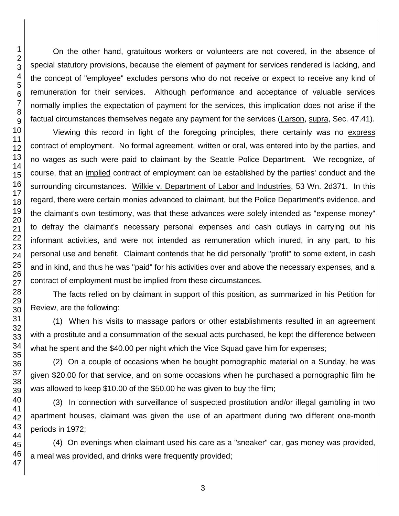On the other hand, gratuitous workers or volunteers are not covered, in the absence of special statutory provisions, because the element of payment for services rendered is lacking, and the concept of "employee" excludes persons who do not receive or expect to receive any kind of remuneration for their services. Although performance and acceptance of valuable services normally implies the expectation of payment for the services, this implication does not arise if the factual circumstances themselves negate any payment for the services (Larson, supra, Sec. 47.41).

Viewing this record in light of the foregoing principles, there certainly was no express contract of employment. No formal agreement, written or oral, was entered into by the parties, and no wages as such were paid to claimant by the Seattle Police Department. We recognize, of course, that an implied contract of employment can be established by the parties' conduct and the surrounding circumstances. Wilkie v. Department of Labor and Industries, 53 Wn. 2d371. In this regard, there were certain monies advanced to claimant, but the Police Department's evidence, and the claimant's own testimony, was that these advances were solely intended as "expense money" to defray the claimant's necessary personal expenses and cash outlays in carrying out his informant activities, and were not intended as remuneration which inured, in any part, to his personal use and benefit. Claimant contends that he did personally "profit" to some extent, in cash and in kind, and thus he was "paid" for his activities over and above the necessary expenses, and a contract of employment must be implied from these circumstances.

The facts relied on by claimant in support of this position, as summarized in his Petition for Review, are the following:

(1) When his visits to massage parlors or other establishments resulted in an agreement with a prostitute and a consummation of the sexual acts purchased, he kept the difference between what he spent and the \$40.00 per night which the Vice Squad gave him for expenses;

(2) On a couple of occasions when he bought pornographic material on a Sunday, he was given \$20.00 for that service, and on some occasions when he purchased a pornographic film he was allowed to keep \$10.00 of the \$50.00 he was given to buy the film;

(3) In connection with surveillance of suspected prostitution and/or illegal gambling in two apartment houses, claimant was given the use of an apartment during two different one-month periods in 1972;

(4) On evenings when claimant used his care as a "sneaker" car, gas money was provided, a meal was provided, and drinks were frequently provided;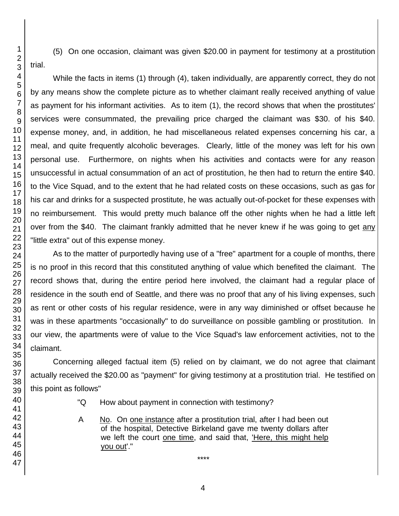(5) On one occasion, claimant was given \$20.00 in payment for testimony at a prostitution trial.

While the facts in items (1) through (4), taken individually, are apparently correct, they do not by any means show the complete picture as to whether claimant really received anything of value as payment for his informant activities. As to item (1), the record shows that when the prostitutes' services were consummated, the prevailing price charged the claimant was \$30. of his \$40. expense money, and, in addition, he had miscellaneous related expenses concerning his car, a meal, and quite frequently alcoholic beverages. Clearly, little of the money was left for his own personal use. Furthermore, on nights when his activities and contacts were for any reason unsuccessful in actual consummation of an act of prostitution, he then had to return the entire \$40. to the Vice Squad, and to the extent that he had related costs on these occasions, such as gas for his car and drinks for a suspected prostitute, he was actually out-of-pocket for these expenses with no reimbursement. This would pretty much balance off the other nights when he had a little left over from the \$40. The claimant frankly admitted that he never knew if he was going to get any "little extra" out of this expense money.

As to the matter of purportedly having use of a "free" apartment for a couple of months, there is no proof in this record that this constituted anything of value which benefited the claimant. The record shows that, during the entire period here involved, the claimant had a regular place of residence in the south end of Seattle, and there was no proof that any of his living expenses, such as rent or other costs of his regular residence, were in any way diminished or offset because he was in these apartments "occasionally" to do surveillance on possible gambling or prostitution. In our view, the apartments were of value to the Vice Squad's law enforcement activities, not to the claimant.

Concerning alleged factual item (5) relied on by claimant, we do not agree that claimant actually received the \$20.00 as "payment" for giving testimony at a prostitution trial. He testified on this point as follows"

- "Q How about payment in connection with testimony?
- A No. On one instance after a prostitution trial, after I had been out of the hospital, Detective Birkeland gave me twenty dollars after we left the court one time, and said that, 'Here, this might help you out'."

\*\*\*\*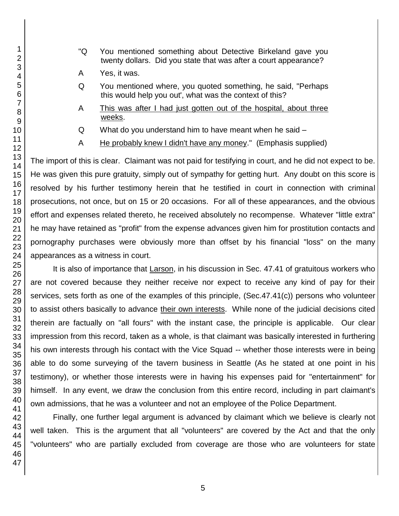- "Q You mentioned something about Detective Birkeland gave you twenty dollars. Did you state that was after a court appearance?
- A Yes, it was.
- Q You mentioned where, you quoted something, he said, "Perhaps this would help you out', what was the context of this?
- A This was after I had just gotten out of the hospital, about three weeks.
- Q What do you understand him to have meant when he said –
- A He probably knew I didn't have any money." (Emphasis supplied)

The import of this is clear. Claimant was not paid for testifying in court, and he did not expect to be. He was given this pure gratuity, simply out of sympathy for getting hurt. Any doubt on this score is resolved by his further testimony herein that he testified in court in connection with criminal prosecutions, not once, but on 15 or 20 occasions. For all of these appearances, and the obvious effort and expenses related thereto, he received absolutely no recompense. Whatever "little extra" he may have retained as "profit" from the expense advances given him for prostitution contacts and pornography purchases were obviously more than offset by his financial "loss" on the many appearances as a witness in court.

It is also of importance that Larson, in his discussion in Sec. 47.41 of gratuitous workers who are not covered because they neither receive nor expect to receive any kind of pay for their services, sets forth as one of the examples of this principle, (Sec.47.41(c)) persons who volunteer to assist others basically to advance their own interests. While none of the judicial decisions cited therein are factually on "all fours" with the instant case, the principle is applicable. Our clear impression from this record, taken as a whole, is that claimant was basically interested in furthering his own interests through his contact with the Vice Squad -- whether those interests were in being able to do some surveying of the tavern business in Seattle (As he stated at one point in his testimony), or whether those interests were in having his expenses paid for "entertainment" for himself. In any event, we draw the conclusion from this entire record, including in part claimant's own admissions, that he was a volunteer and not an employee of the Police Department.

Finally, one further legal argument is advanced by claimant which we believe is clearly not well taken. This is the argument that all "volunteers" are covered by the Act and that the only "volunteers" who are partially excluded from coverage are those who are volunteers for state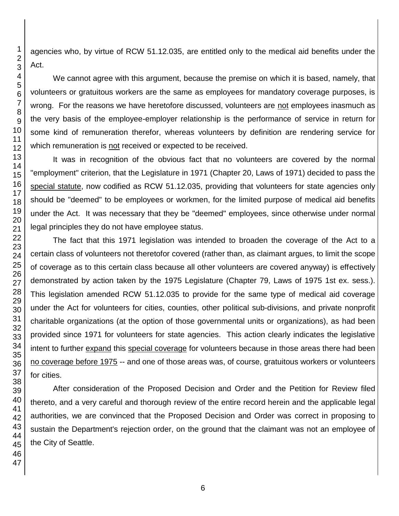agencies who, by virtue of RCW 51.12.035, are entitled only to the medical aid benefits under the Act.

We cannot agree with this argument, because the premise on which it is based, namely, that volunteers or gratuitous workers are the same as employees for mandatory coverage purposes, is wrong. For the reasons we have heretofore discussed, volunteers are not employees inasmuch as the very basis of the employee-employer relationship is the performance of service in return for some kind of remuneration therefor, whereas volunteers by definition are rendering service for which remuneration is not received or expected to be received.

It was in recognition of the obvious fact that no volunteers are covered by the normal "employment" criterion, that the Legislature in 1971 (Chapter 20, Laws of 1971) decided to pass the special statute, now codified as RCW 51.12.035, providing that volunteers for state agencies only should be "deemed" to be employees or workmen, for the limited purpose of medical aid benefits under the Act. It was necessary that they be "deemed" employees, since otherwise under normal legal principles they do not have employee status.

The fact that this 1971 legislation was intended to broaden the coverage of the Act to a certain class of volunteers not theretofor covered (rather than, as claimant argues, to limit the scope of coverage as to this certain class because all other volunteers are covered anyway) is effectively demonstrated by action taken by the 1975 Legislature (Chapter 79, Laws of 1975 1st ex. sess.). This legislation amended RCW 51.12.035 to provide for the same type of medical aid coverage under the Act for volunteers for cities, counties, other political sub-divisions, and private nonprofit charitable organizations (at the option of those governmental units or organizations), as had been provided since 1971 for volunteers for state agencies. This action clearly indicates the legislative intent to further expand this special coverage for volunteers because in those areas there had been no coverage before 1975 -- and one of those areas was, of course, gratuitous workers or volunteers for cities.

After consideration of the Proposed Decision and Order and the Petition for Review filed thereto, and a very careful and thorough review of the entire record herein and the applicable legal authorities, we are convinced that the Proposed Decision and Order was correct in proposing to sustain the Department's rejection order, on the ground that the claimant was not an employee of the City of Seattle.